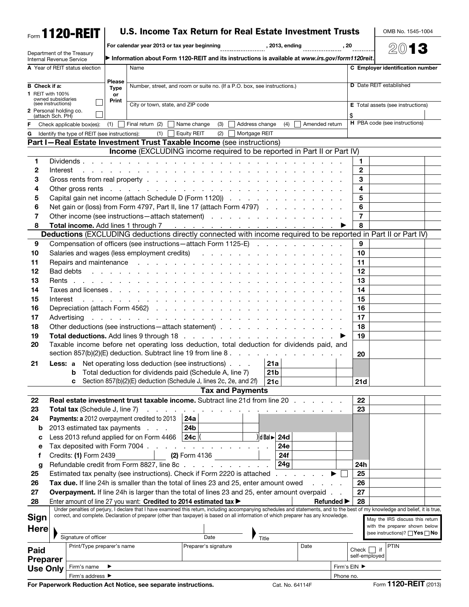|                                          |                  | Form 1120-REIT                                |                                   | U.S. Income Tax Return for Real Estate Investment Trusts                                                                                                                                                                                                          |                                                                     |                |                    |                |                                                     |                                        |                |                                          | OMB No. 1545-1004              |                                                                                         |
|------------------------------------------|------------------|-----------------------------------------------|-----------------------------------|-------------------------------------------------------------------------------------------------------------------------------------------------------------------------------------------------------------------------------------------------------------------|---------------------------------------------------------------------|----------------|--------------------|----------------|-----------------------------------------------------|----------------------------------------|----------------|------------------------------------------|--------------------------------|-----------------------------------------------------------------------------------------|
|                                          |                  |                                               |                                   | For calendar year 2013 or tax year beginning                                                                                                                                                                                                                      |                                                                     |                |                    | , 2013, ending |                                                     | , 20                                   |                |                                          | 2013                           |                                                                                         |
| <b>Internal Revenue Service</b>          |                  | Department of the Treasury                    |                                   | Information about Form 1120-REIT and its instructions is available at www.irs.gov/form1120reit.                                                                                                                                                                   |                                                                     |                |                    |                |                                                     |                                        |                |                                          |                                |                                                                                         |
|                                          |                  | A Year of REIT status election                |                                   | Name                                                                                                                                                                                                                                                              |                                                                     |                |                    |                |                                                     |                                        |                |                                          |                                | C Employer identification number                                                        |
|                                          |                  |                                               | <b>Please</b>                     |                                                                                                                                                                                                                                                                   |                                                                     |                |                    |                |                                                     |                                        |                |                                          | <b>D</b> Date REIT established |                                                                                         |
| <b>B</b> Check if a:<br>1 REIT with 100% |                  | <b>Type</b><br>or                             |                                   | Number, street, and room or suite no. (If a P.O. box, see instructions.)                                                                                                                                                                                          |                                                                     |                |                    |                |                                                     |                                        |                |                                          |                                |                                                                                         |
| owned subsidiaries<br>(see instructions) |                  | Print                                         | City or town, state, and ZIP code |                                                                                                                                                                                                                                                                   |                                                                     |                |                    |                |                                                     |                                        |                | <b>E</b> Total assets (see instructions) |                                |                                                                                         |
| 2 Personal holding co.                   | (attach Sch. PH) |                                               |                                   |                                                                                                                                                                                                                                                                   |                                                                     |                |                    |                |                                                     |                                        | \$             |                                          |                                |                                                                                         |
| F.                                       |                  | Check applicable box(es): $(1)$               |                                   | Final return (2)                                                                                                                                                                                                                                                  | (3)<br>Name change                                                  | Address change |                    | (4)            | Amended return                                      |                                        |                |                                          | H PBA code (see instructions)  |                                                                                         |
| G                                        |                  | Identify the type of REIT (see instructions): |                                   | (1)                                                                                                                                                                                                                                                               | <b>Equity REIT</b><br>(2)                                           | Mortgage REIT  |                    |                |                                                     |                                        |                |                                          |                                |                                                                                         |
|                                          |                  |                                               |                                   | Part I-Real Estate Investment Trust Taxable Income (see instructions)                                                                                                                                                                                             |                                                                     |                |                    |                |                                                     |                                        |                |                                          |                                |                                                                                         |
|                                          |                  |                                               |                                   | Income (EXCLUDING income required to be reported in Part II or Part IV)                                                                                                                                                                                           |                                                                     |                |                    |                |                                                     |                                        |                |                                          |                                |                                                                                         |
| 1                                        |                  | Dividends.                                    |                                   |                                                                                                                                                                                                                                                                   |                                                                     |                |                    |                |                                                     |                                        | 1.             |                                          |                                |                                                                                         |
| 2                                        | Interest         |                                               |                                   | a construction of the construction of the construction of the construction of the construction of the construction of the construction of the construction of the construction of the construction of the construction of the                                     |                                                                     |                |                    |                |                                                     |                                        | $\mathbf{2}$   |                                          |                                |                                                                                         |
| З                                        |                  |                                               |                                   |                                                                                                                                                                                                                                                                   |                                                                     |                |                    |                |                                                     |                                        | 3              |                                          |                                |                                                                                         |
| 4                                        |                  |                                               |                                   | Other gross rents response to the contract of the contract of the contract of the contract of the contract of the contract of the contract of the contract of the contract of the contract of the contract of the contract of                                     |                                                                     |                |                    |                |                                                     |                                        | 4              |                                          |                                |                                                                                         |
| 5                                        |                  |                                               |                                   | Capital gain net income (attach Schedule D (Form 1120))                                                                                                                                                                                                           |                                                                     |                |                    |                |                                                     |                                        | 5              |                                          |                                |                                                                                         |
| 6                                        |                  |                                               |                                   | Net gain or (loss) from Form 4797, Part II, line 17 (attach Form 4797)                                                                                                                                                                                            |                                                                     |                |                    |                |                                                     |                                        | 6              |                                          |                                |                                                                                         |
| 7                                        |                  |                                               |                                   | Other income (see instructions – attach statement)                                                                                                                                                                                                                |                                                                     |                |                    |                |                                                     |                                        | $\overline{7}$ |                                          |                                |                                                                                         |
| 8                                        |                  |                                               |                                   | Total income. Add lines 1 through 7                                                                                                                                                                                                                               | and the contract of the contract of the contract of the contract of |                |                    |                |                                                     |                                        | 8              |                                          |                                |                                                                                         |
|                                          |                  |                                               |                                   | Deductions (EXCLUDING deductions directly connected with income required to be reported in Part II or Part IV)                                                                                                                                                    |                                                                     |                |                    |                |                                                     |                                        |                |                                          |                                |                                                                                         |
| 9                                        |                  |                                               |                                   | Compensation of officers (see instructions - attach Form 1125-E)                                                                                                                                                                                                  |                                                                     |                |                    |                |                                                     |                                        | 9              |                                          |                                |                                                                                         |
| 10                                       |                  |                                               |                                   | Salaries and wages (less employment credits)                                                                                                                                                                                                                      |                                                                     |                |                    |                | and the contract of the contract of the contract of |                                        | 10<br>11       |                                          |                                |                                                                                         |
| 11<br>12                                 | Bad debts        |                                               |                                   | Repairs and maintenance resources and maintenance resources and resources are a set of the Repairs and Repairs                                                                                                                                                    |                                                                     |                |                    |                |                                                     |                                        | 12             |                                          |                                |                                                                                         |
| 13                                       |                  |                                               |                                   | the contract of the contract of the contract of the contract of the contract of the contract of the contract of                                                                                                                                                   |                                                                     |                |                    |                |                                                     |                                        | 13             |                                          |                                |                                                                                         |
| 14                                       |                  |                                               |                                   |                                                                                                                                                                                                                                                                   |                                                                     |                |                    |                |                                                     |                                        | 14             |                                          |                                |                                                                                         |
| 15                                       |                  |                                               |                                   | Taxes and licenses                                                                                                                                                                                                                                                |                                                                     |                |                    |                |                                                     |                                        | 15             |                                          |                                |                                                                                         |
| 16                                       | Interest         |                                               |                                   | and the contract of the contract of the contract of the contract of the contract of the contract of the contract of the contract of the contract of the contract of the contract of the contract of the contract of the contra<br>Depreciation (attach Form 4562) |                                                                     |                |                    |                |                                                     |                                        | 16             |                                          |                                |                                                                                         |
| 17                                       |                  |                                               |                                   |                                                                                                                                                                                                                                                                   |                                                                     |                |                    |                |                                                     |                                        | 17             |                                          |                                |                                                                                         |
| 18                                       |                  |                                               |                                   | Other deductions (see instructions - attach statement)                                                                                                                                                                                                            |                                                                     |                |                    |                |                                                     |                                        | 18             |                                          |                                |                                                                                         |
| 19                                       |                  |                                               |                                   |                                                                                                                                                                                                                                                                   |                                                                     |                |                    |                |                                                     |                                        | 19             |                                          |                                |                                                                                         |
| 20                                       |                  |                                               |                                   | Taxable income before net operating loss deduction, total deduction for dividends paid, and                                                                                                                                                                       |                                                                     |                |                    |                |                                                     |                                        |                |                                          |                                |                                                                                         |
|                                          |                  |                                               |                                   | section 857(b)(2)(E) deduction. Subtract line 19 from line 8.                                                                                                                                                                                                     |                                                                     |                |                    |                |                                                     |                                        | 20             |                                          |                                |                                                                                         |
| 21                                       |                  |                                               |                                   | Less: a Net operating loss deduction (see instructions)                                                                                                                                                                                                           |                                                                     |                | 21a                |                |                                                     |                                        |                |                                          |                                |                                                                                         |
|                                          |                  |                                               |                                   | Total deduction for dividends paid (Schedule A, line 7)                                                                                                                                                                                                           |                                                                     |                | 21 <sub>b</sub>    |                |                                                     |                                        |                |                                          |                                |                                                                                         |
|                                          |                  | b<br>c                                        |                                   | Section 857(b)(2)(E) deduction (Schedule J, lines 2c, 2e, and 2f)                                                                                                                                                                                                 |                                                                     |                | 21c                |                |                                                     |                                        | 21d            |                                          |                                |                                                                                         |
|                                          |                  |                                               |                                   |                                                                                                                                                                                                                                                                   | <b>Tax and Payments</b>                                             |                |                    |                |                                                     |                                        |                |                                          |                                |                                                                                         |
| 22                                       |                  |                                               |                                   | Real estate investment trust taxable income. Subtract line 21d from line 20                                                                                                                                                                                       |                                                                     |                |                    |                |                                                     |                                        | 22             |                                          |                                |                                                                                         |
| 23                                       |                  | <b>Total tax</b> (Schedule J, line 7)         |                                   |                                                                                                                                                                                                                                                                   |                                                                     |                |                    |                |                                                     |                                        | 23             |                                          |                                |                                                                                         |
| 24                                       |                  |                                               |                                   | Payments: a 2012 overpayment credited to 2013                                                                                                                                                                                                                     | 24a                                                                 |                |                    |                |                                                     |                                        |                |                                          |                                |                                                                                         |
| b                                        |                  |                                               |                                   | 2013 estimated tax payments                                                                                                                                                                                                                                       | 24b                                                                 |                |                    |                |                                                     |                                        |                |                                          |                                |                                                                                         |
| с                                        |                  |                                               |                                   | Less 2013 refund applied for on Form 4466                                                                                                                                                                                                                         | $\vert$ 24c $\vert$                                                 |                | $  d$ Bal $  $ 24d |                |                                                     |                                        |                |                                          |                                |                                                                                         |
| е                                        |                  | Tax deposited with Form 7004.                 |                                   |                                                                                                                                                                                                                                                                   | $\mathbf{L} = \mathbf{L}$<br>the contract of the contract of the    |                |                    | 24e            |                                                     |                                        |                |                                          |                                |                                                                                         |
| f                                        |                  | Credits: (1) Form 2439                        |                                   |                                                                                                                                                                                                                                                                   | <b>(2)</b> Form 4136                                                |                |                    | 24f            |                                                     |                                        |                |                                          |                                |                                                                                         |
| g                                        |                  |                                               |                                   | Refundable credit from Form 8827, line 8c                                                                                                                                                                                                                         |                                                                     |                |                    | 24g            |                                                     |                                        | 24h            |                                          |                                |                                                                                         |
| 25                                       |                  |                                               |                                   | Estimated tax penalty (see instructions). Check if Form 2220 is attached                                                                                                                                                                                          |                                                                     |                |                    |                |                                                     |                                        | 25             |                                          |                                |                                                                                         |
| 26                                       |                  |                                               |                                   | Tax due. If line 24h is smaller than the total of lines 23 and 25, enter amount owed                                                                                                                                                                              |                                                                     |                |                    |                |                                                     | $\mathbf{r} = \mathbf{r} + \mathbf{r}$ | 26             |                                          |                                |                                                                                         |
| 27                                       |                  |                                               |                                   | <b>Overpayment.</b> If line 24h is larger than the total of lines 23 and 25, enter amount overpaid.                                                                                                                                                               |                                                                     |                |                    |                |                                                     |                                        | 27             |                                          |                                |                                                                                         |
| 28                                       |                  |                                               |                                   | Enter amount of line 27 you want: Credited to 2014 estimated tax                                                                                                                                                                                                  |                                                                     |                |                    |                |                                                     | Refunded $\blacktriangleright$         | 28             |                                          |                                |                                                                                         |
|                                          |                  |                                               |                                   | Under penalties of perjury, I declare that I have examined this return, including accompanying schedules and statements, and to the best of my knowledge and belief, it is true,                                                                                  |                                                                     |                |                    |                |                                                     |                                        |                |                                          |                                |                                                                                         |
| <b>Sign</b>                              |                  |                                               |                                   | correct, and complete. Declaration of preparer (other than taxpayer) is based on all information of which preparer has any knowledge.                                                                                                                             |                                                                     |                |                    |                |                                                     |                                        |                |                                          |                                | May the IRS discuss this return                                                         |
| <b>Here</b>                              |                  |                                               |                                   |                                                                                                                                                                                                                                                                   |                                                                     |                |                    |                |                                                     |                                        |                |                                          |                                | with the preparer shown below<br>(see instructions)? $\Box$ <b>Yes</b> $\Box$ <b>No</b> |
|                                          |                  | Signature of officer                          |                                   |                                                                                                                                                                                                                                                                   | Date                                                                |                | Title              |                |                                                     |                                        |                |                                          |                                |                                                                                         |
| Paid                                     |                  | Print/Type preparer's name                    |                                   |                                                                                                                                                                                                                                                                   | Preparer's signature                                                |                |                    |                | Date                                                |                                        | Check          | $ $ if                                   | <b>PTIN</b>                    |                                                                                         |
| <b>Preparer</b>                          |                  |                                               |                                   |                                                                                                                                                                                                                                                                   |                                                                     |                |                    |                |                                                     |                                        | self-employed  |                                          |                                |                                                                                         |
| <b>Use Only</b>                          |                  | Firm's name                                   |                                   |                                                                                                                                                                                                                                                                   |                                                                     |                |                    |                |                                                     |                                        | Firm's EIN ▶   |                                          |                                |                                                                                         |
|                                          |                  | Firm's address ▶                              |                                   |                                                                                                                                                                                                                                                                   |                                                                     |                |                    |                |                                                     | Phone no.                              |                |                                          |                                |                                                                                         |

For Paperwork Reduction Act Notice, see separate instructions. Cat. No. 64114F Form **1120-REIT** (2013)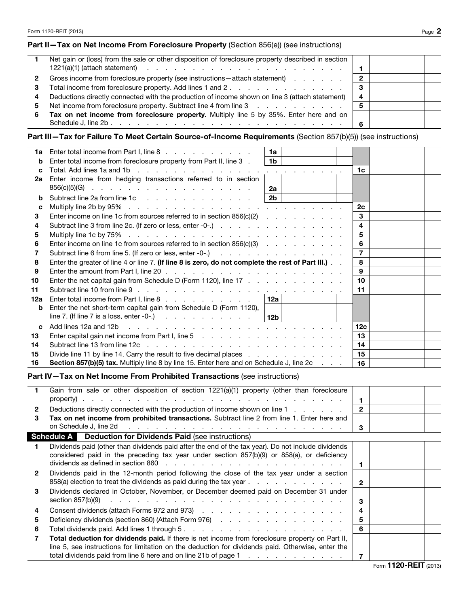$\overline{\phantom{a}}$ 

## Part II-Tax on Net Income From Foreclosure Property (Section 856(e)) (see instructions)

|             | Net gain or (loss) from the sale or other disposition of foreclosure property described in section               |                        |  |
|-------------|------------------------------------------------------------------------------------------------------------------|------------------------|--|
|             | $1221(a)(1)$ (attach statement) $\cdots$ $\cdots$ $\cdots$ $\cdots$ $\cdots$ $\cdots$ $\cdots$ $\cdots$ $\cdots$ |                        |  |
| $2^{\circ}$ | Gross income from foreclosure property (see instructions - attach statement)                                     | -2                     |  |
| 3           | Total income from foreclosure property. Add lines 1 and 2.                                                       | -3                     |  |
| 4           | Deductions directly connected with the production of income shown on line 3 (attach statement)                   | $\boldsymbol{\Lambda}$ |  |
|             | 5 Net income from foreclosure property. Subtract line 4 from line 3                                              | 5                      |  |
| 6           | Tax on net income from foreclosure property. Multiply line 5 by 35%. Enter here and on                           |                        |  |
|             |                                                                                                                  | -6                     |  |

## Part III—Tax for Failure To Meet Certain Source-of-Income Requirements (Section 857(b)(5)) (see instructions)

| 1a  | Enter total income from Part I, line 8                                                                                                                                                                                         | 1a             |  |                 |  |
|-----|--------------------------------------------------------------------------------------------------------------------------------------------------------------------------------------------------------------------------------|----------------|--|-----------------|--|
| b   | Enter total income from foreclosure property from Part II, line 3.                                                                                                                                                             | 1b             |  |                 |  |
| c   | Total. Add lines 1a and 1b $\cdots$ $\cdots$ $\cdots$ $\cdots$ $\cdots$ $\cdots$ $\cdots$                                                                                                                                      |                |  | 1c              |  |
| 2a  | Enter income from hedging transactions referred to in section                                                                                                                                                                  |                |  |                 |  |
|     | $856(c)(5)(G)$                                                                                                                                                                                                                 | 2a             |  |                 |  |
| b   | Subtract line 2a from line 1c                                                                                                                                                                                                  | 2 <sub>b</sub> |  |                 |  |
| C   |                                                                                                                                                                                                                                |                |  | 2c              |  |
| 3   | Enter income on line 1c from sources referred to in section $856(c)(2)$                                                                                                                                                        |                |  | 3               |  |
| 4   |                                                                                                                                                                                                                                |                |  | 4               |  |
| 5   |                                                                                                                                                                                                                                |                |  | 5               |  |
| 6   | Enter income on line 1c from sources referred to in section $856(c)(3)$                                                                                                                                                        |                |  | 6               |  |
|     | Subtract line 6 from line 5. (If zero or less, enter -0-.)                                                                                                                                                                     |                |  | $\overline{7}$  |  |
| 8   | Enter the greater of line 4 or line 7. (If line 8 is zero, do not complete the rest of Part III.)                                                                                                                              |                |  | 8               |  |
| 9   | Enter the amount from Part I, line $20 \ldots$ , $\ldots$ , $\ldots$ , $\ldots$ , $\ldots$ , $\ldots$ , $\ldots$ , $\ldots$                                                                                                    |                |  | 9               |  |
| 10  | Enter the net capital gain from Schedule D (Form 1120), line 17                                                                                                                                                                |                |  | 10              |  |
| 11  |                                                                                                                                                                                                                                |                |  | 11              |  |
| 12a | Enter total income from Part I, line 8 and a contract to the state of the B                                                                                                                                                    | 12a            |  |                 |  |
| b   | Enter the net short-term capital gain from Schedule D (Form 1120),                                                                                                                                                             |                |  |                 |  |
|     | line 7. (If line 7 is a loss, enter -0-.) $\ldots$ $\ldots$ $\ldots$ $\ldots$                                                                                                                                                  | 12b            |  |                 |  |
| C   | Add lines 12a and 12b (a) and a contract the contract of the contract of the contract of the contract of the contract of the contract of the contract of the contract of the contract of the contract of the contract of the c |                |  | 12 <sub>c</sub> |  |
| 13  |                                                                                                                                                                                                                                | 13             |  |                 |  |
| 14  |                                                                                                                                                                                                                                | 14             |  |                 |  |
| 15  | Divide line 11 by line 14. Carry the result to five decimal places                                                                                                                                                             | 15             |  |                 |  |
| 16  | Section 857(b)(5) tax. Multiply line 8 by line 15. Enter here and on Schedule J, line 2c                                                                                                                                       | 16             |  |                 |  |

## Part IV—Tax on Net Income From Prohibited Transactions (see instructions)

|   | Gain from sale or other disposition of section 1221(a)(1) property (other than foreclosure                                                                                                                                                                               |              |  |
|---|--------------------------------------------------------------------------------------------------------------------------------------------------------------------------------------------------------------------------------------------------------------------------|--------------|--|
|   |                                                                                                                                                                                                                                                                          |              |  |
| 2 | Deductions directly connected with the production of income shown on line 1                                                                                                                                                                                              | $\mathbf{2}$ |  |
| з | <b>Tax on net income from prohibited transactions.</b> Subtract line 2 from line 1. Enter here and                                                                                                                                                                       |              |  |
|   | on Schedule J, line 2d run and a series and a series and a series of the series of the series of the series of $\sim$                                                                                                                                                    | 3            |  |
|   | <b>Schedule A</b> Deduction for Dividends Paid (see instructions)                                                                                                                                                                                                        |              |  |
|   | Dividends paid (other than dividends paid after the end of the tax year). Do not include dividends<br>considered paid in the preceding tax year under section 857(b)(9) or 858(a), or deficiency                                                                         | 1.           |  |
| 2 | Dividends paid in the 12-month period following the close of the tax year under a section<br>858(a) election to treat the dividends as paid during the tax year                                                                                                          | 2            |  |
| 3 | Dividends declared in October, November, or December deemed paid on December 31 under<br>section 857(b)(9) $\cdots$ $\cdots$ $\cdots$ $\cdots$ $\cdots$ $\cdots$ $\cdots$ $\cdots$ $\cdots$ $\cdots$ $\cdots$ $\cdots$                                                   | 3            |  |
| 4 |                                                                                                                                                                                                                                                                          | 4            |  |
| 5 |                                                                                                                                                                                                                                                                          | 5            |  |
| 6 |                                                                                                                                                                                                                                                                          | 6            |  |
|   | Total deduction for dividends paid. If there is net income from foreclosure property on Part II,<br>line 5, see instructions for limitation on the deduction for dividends paid. Otherwise, enter the<br>total dividends paid from line 6 here and on line 21b of page 1 | 7            |  |

Form 1120-REIT (2013)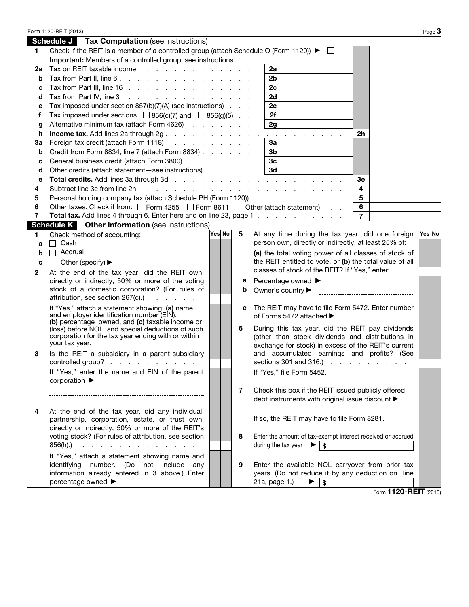|    | Form 1120-REIT (2013)                                                                                  |        |   |                                                                                                      |                |         | Page $3$ |
|----|--------------------------------------------------------------------------------------------------------|--------|---|------------------------------------------------------------------------------------------------------|----------------|---------|----------|
|    | <b>Schedule J</b> Tax Computation (see instructions)                                                   |        |   |                                                                                                      |                |         |          |
| 1. | Check if the REIT is a member of a controlled group (attach Schedule O (Form 1120)) ▶                  |        |   | $\perp$                                                                                              |                |         |          |
|    | Important: Members of a controlled group, see instructions.                                            |        |   |                                                                                                      |                |         |          |
| 2a | Tax on REIT taxable income                                                                             |        |   | 2a                                                                                                   |                |         |          |
| b  | Tax from Part II, line 6.                                                                              |        |   | 2b                                                                                                   |                |         |          |
| c  | Tax from Part III, line 16                                                                             |        |   | 2c                                                                                                   |                |         |          |
| d  | Tax from Part IV, line 3                                                                               |        |   | 2d                                                                                                   |                |         |          |
| е  | Tax imposed under section 857(b)(7)(A) (see instructions)                                              |        |   | 2e                                                                                                   |                |         |          |
| f  | Tax imposed under sections $\Box$ 856(c)(7) and $\Box$ 856(g)(5)                                       |        |   | 2f                                                                                                   |                |         |          |
| g  | Alternative minimum tax (attach Form 4626)                                                             |        |   | 2g                                                                                                   |                |         |          |
| h  | Income tax. Add lines 2a through 2g.                                                                   |        |   | the contract of the contract of<br>$\sim 100$ km s $^{-1}$                                           | <u>2h</u>      |         |          |
| За | Foreign tax credit (attach Form 1118)                                                                  |        |   | 3a                                                                                                   |                |         |          |
| b  | Credit from Form 8834, line 7 (attach Form 8834)                                                       |        |   | 3b                                                                                                   |                |         |          |
| c  | General business credit (attach Form 3800)                                                             |        |   | 3 <sub>c</sub>                                                                                       |                |         |          |
| d  | Other credits (attach statement-see instructions)                                                      |        |   | 3d                                                                                                   |                |         |          |
| e  |                                                                                                        |        |   |                                                                                                      | Зе             |         |          |
| 4  | Subtract line 3e from line 2h                                                                          |        |   |                                                                                                      | 4              |         |          |
| 5  | Personal holding company tax (attach Schedule PH (Form 1120))                                          |        |   |                                                                                                      | 5              |         |          |
| 6  | Other taxes. Check if from: □ Form 4255 □ Form 8611 □ Other (attach statement)                         |        |   |                                                                                                      | 6              |         |          |
| 7  | Total tax. Add lines 4 through 6. Enter here and on line 23, page 1                                    |        |   |                                                                                                      | $\overline{7}$ |         |          |
|    | <b>Schedule K</b> Other Information (see instructions)                                                 |        |   |                                                                                                      |                |         |          |
| 1. | Check method of accounting:                                                                            | Yes No | 5 | At any time during the tax year, did one foreign                                                     |                |         | Yes No   |
| a  | Cash<br>$\Box$                                                                                         |        |   | person own, directly or indirectly, at least 25% of:                                                 |                |         |          |
| b  | Accrual<br>П                                                                                           |        |   | (a) the total voting power of all classes of stock of                                                |                |         |          |
| C  |                                                                                                        |        |   | the REIT entitled to vote, or (b) the total value of all                                             |                |         |          |
| 2  | At the end of the tax year, did the REIT own,                                                          |        |   | classes of stock of the REIT? If "Yes," enter:                                                       |                |         |          |
|    | directly or indirectly, 50% or more of the voting                                                      |        | a |                                                                                                      |                |         |          |
|    | stock of a domestic corporation? (For rules of                                                         |        | b | Owner's country $\blacktriangleright$                                                                |                |         |          |
|    | attribution, see section $267(c)$ . $\ldots$ $\ldots$                                                  |        |   |                                                                                                      |                |         |          |
|    | If "Yes," attach a statement showing: (a) name                                                         |        | C | The REIT may have to file Form 5472. Enter number                                                    |                |         |          |
|    | and employer identification number (EIN),                                                              |        |   | of Forms 5472 attached ▶                                                                             |                |         |          |
|    | (b) percentage owned, and (c) taxable income or                                                        |        |   |                                                                                                      |                |         |          |
|    | (loss) before NOL and special deductions of such<br>corporation for the tax year ending with or within |        | 6 | During this tax year, did the REIT pay dividends<br>(other than stock dividends and distributions in |                |         |          |
|    | your tax year.                                                                                         |        |   | exchange for stock) in excess of the REIT's current                                                  |                |         |          |
| З  | Is the REIT a subsidiary in a parent-subsidiary                                                        |        |   | and accumulated earnings and profits? (See                                                           |                |         |          |
|    | controlled group?                                                                                      |        |   | sections 301 and 316.) $\ldots$ $\ldots$ $\ldots$                                                    |                |         |          |
|    | If "Yes," enter the name and EIN of the parent                                                         |        |   | If "Yes," file Form 5452.                                                                            |                |         |          |
|    | corporation $\blacktriangleright$                                                                      |        |   |                                                                                                      |                |         |          |
|    |                                                                                                        |        | 7 | Check this box if the REIT issued publicly offered                                                   |                |         |          |
|    |                                                                                                        |        |   | debt instruments with original issue discount ▶                                                      |                | $\perp$ |          |
|    |                                                                                                        |        |   |                                                                                                      |                |         |          |
| 4  | At the end of the tax year, did any individual,                                                        |        |   |                                                                                                      |                |         |          |
|    | partnership, corporation, estate, or trust own,                                                        |        |   | If so, the REIT may have to file Form 8281.                                                          |                |         |          |
|    | directly or indirectly, 50% or more of the REIT's                                                      |        |   |                                                                                                      |                |         |          |
|    | voting stock? (For rules of attribution, see section                                                   |        | 8 | Enter the amount of tax-exempt interest received or accrued                                          |                |         |          |
|    | 856(h).)<br>and the contract of the contract of the                                                    |        |   | during the tax year<br>$\boldsymbol{\mathsf{s}}$                                                     |                |         |          |
|    | If "Yes," attach a statement showing name and                                                          |        |   |                                                                                                      |                |         |          |
|    | identifying number.<br>(Do<br>not include<br>any                                                       |        | 9 | Enter the available NOL carryover from prior tax                                                     |                |         |          |
|    | information already entered in 3 above.) Enter                                                         |        |   | years. (Do not reduce it by any deduction on line                                                    |                |         |          |
|    | percentage owned ▶                                                                                     |        |   | 21a, page 1.)<br>▶<br>$\sqrt[6]{\frac{1}{2}}$                                                        |                |         |          |

Form 1120-REIT (2013)